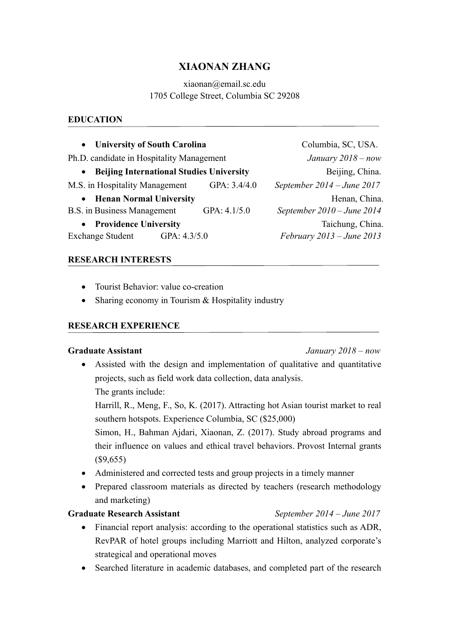# **XIAONAN ZHANG**

# xiaonan@email.sc.edu 1705 College Street, Columbia SC 29208

# **EDUCATION**

| • University of South Carolina                               |              | Columbia, SC, USA.           |
|--------------------------------------------------------------|--------------|------------------------------|
| Ph.D. candidate in Hospitality Management                    |              | January $2018 - now$         |
| <b>Beijing International Studies University</b><br>$\bullet$ |              | Beijing, China.              |
| M.S. in Hospitality Management                               | GPA: 3.4/4.0 | September $2014 - June 2017$ |
| • Henan Normal University                                    |              | Henan, China.                |
| B.S. in Business Management                                  | GPA: 4.1/5.0 | September $2010 - June 2014$ |
| • Providence University                                      |              | Taichung, China.             |
| <b>Exchange Student</b><br>GPA: $4.3/5.0$                    |              | February 2013 – June 2013    |

#### **RESEARCH INTERESTS**

- Tourist Behavior: value co-creation
- Sharing economy in Tourism & Hospitality industry

#### **RESEARCH EXPERIENCE**

#### **Graduate Assistant** *January 2018 – now*

• Assisted with the design and implementation of qualitative and quantitative projects, such as field work data collection, data analysis.

The grants include:

Harrill, R., Meng, F., So, K. (2017). Attracting hot Asian tourist market to real southern hotspots. Experience Columbia, SC (\$25,000)

Simon, H., Bahman Ajdari, Xiaonan, Z. (2017). Study abroad programs and their influence on values and ethical travel behaviors. Provost Internal grants (\$9,655)

- Administered and corrected tests and group projects in a timely manner
- Prepared classroom materials as directed by teachers (research methodology and marketing)

#### **Graduate Research Assistant** *September 2014 – June 2017*

- Financial report analysis: according to the operational statistics such as ADR, RevPAR of hotel groups including Marriott and Hilton, analyzed corporate's strategical and operational moves
- Searched literature in academic databases, and completed part of the research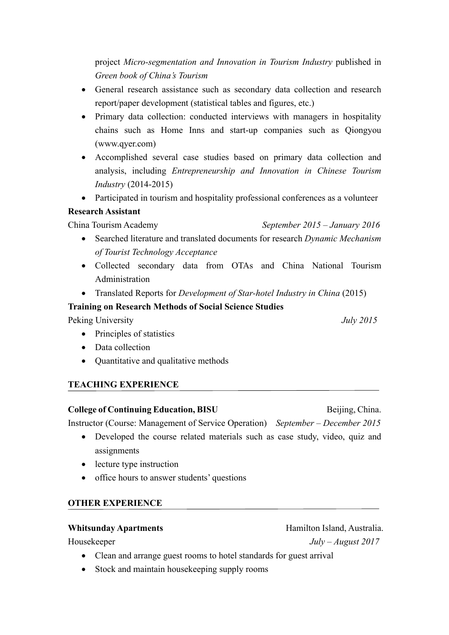project *Micro-segmentation and Innovation in Tourism Industry* published in *Green book of China's Tourism*

- General research assistance such as secondary data collection and research report/paper development (statistical tables and figures, etc.)
- Primary data collection: conducted interviews with managers in hospitality chains such as Home Inns and start-up companies such as Qiongyou (www.qyer.com)
- Accomplished several case studies based on primary data collection and analysis, including *Entrepreneurship and Innovation in Chinese Tourism Industry* (2014-2015)
- Participated in tourism and hospitality professional conferences as a volunteer

# **Research Assistant**

China Tourism Academy *September 2015 – January 2016*

- Searched literature and translated documents for research *Dynamic Mechanism of Tourist Technology Acceptance*
- Collected secondary data from OTAs and China National Tourism Administration
- Translated Reports for *Development of Star-hotel Industry in China* (2015)

# **Training on Research Methods of Social Science Studies**

Peking University *July 2015*

- Principles of statistics
- Data collection
- Quantitative and qualitative methods

# **TEACHING EXPERIENCE**

**College of Continuing Education, BISU** Beijing, China.

Instructor (Course: Management of Service Operation) *September – December 2015*

- Developed the course related materials such as case study, video, quiz and assignments
- lecture type instruction
- office hours to answer students' questions

# **OTHER EXPERIENCE**

# Whitsunday Apartments **Whitsunday Apartments Hamilton Island, Australia.**

- Clean and arrange guest rooms to hotel standards for guest arrival
- Stock and maintain housekeeping supply rooms

Housekeeper *July – August 2017*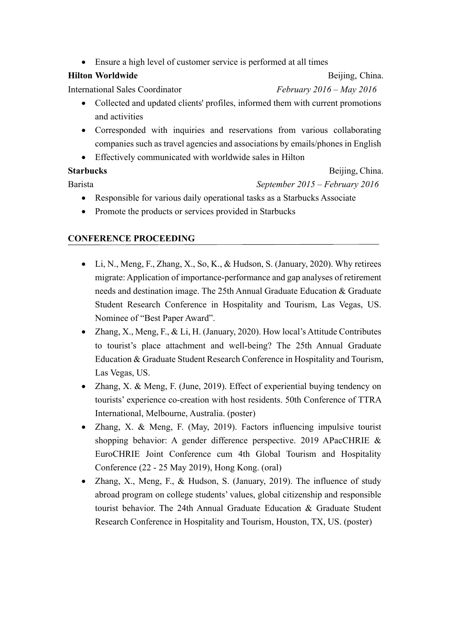• Ensure a high level of customer service is performed at all times

#### **Hilton Worldwide** Beijing, China.

International Sales Coordinator *February 2016 – May 2016*

- Collected and updated clients' profiles, informed them with current promotions and activities
- Corresponded with inquiries and reservations from various collaborating companies such as travel agencies and associations by emails/phones in English
- Effectively communicated with worldwide sales in Hilton

**Starbucks Beijing, China.** 

- Barista *September 2015 – February 2016*
	- Responsible for various daily operational tasks as a Starbucks Associate
	- Promote the products or services provided in Starbucks

# **CONFERENCE PROCEEDING**

- Li, N., Meng, F., Zhang, X., So, K., & Hudson, S. (January, 2020). Why retirees migrate: Application of importance-performance and gap analyses of retirement needs and destination image. The 25th Annual Graduate Education & Graduate Student Research Conference in Hospitality and Tourism, Las Vegas, US. Nominee of "Best Paper Award".
- Zhang, X., Meng, F., & Li, H. (January, 2020). How local's Attitude Contributes to tourist's place attachment and well-being? The 25th Annual Graduate Education & Graduate Student Research Conference in Hospitality and Tourism, Las Vegas, US.
- Zhang, X. & Meng, F. (June, 2019). Effect of experiential buying tendency on tourists' experience co-creation with host residents. 50th Conference of TTRA International, Melbourne, Australia. (poster)
- Zhang, X. & Meng, F. (May, 2019). Factors influencing impulsive tourist shopping behavior: A gender difference perspective. 2019 APacCHRIE & EuroCHRIE Joint Conference cum 4th Global Tourism and Hospitality Conference (22 - 25 May 2019), Hong Kong. (oral)
- Zhang, X., Meng, F., & Hudson, S. (January, 2019). The influence of study abroad program on college students' values, global citizenship and responsible tourist behavior. The 24th Annual Graduate Education & Graduate Student Research Conference in Hospitality and Tourism, Houston, TX, US. (poster)